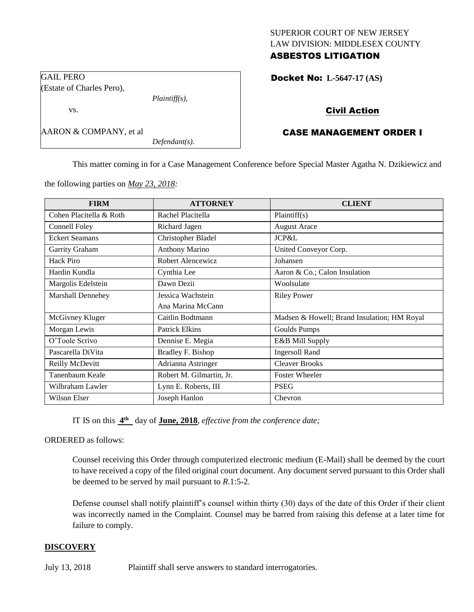### SUPERIOR COURT OF NEW JERSEY LAW DIVISION: MIDDLESEX COUNTY ASBESTOS LITIGATION

Docket No: **L-5647-17 (AS)** 

### Civil Action

# CASE MANAGEMENT ORDER I

This matter coming in for a Case Management Conference before Special Master Agatha N. Dzikiewicz and

the following parties on *May 23, 2018:*

*Plaintiff(s),*

*Defendant(s).*

GAIL PERO

(Estate of Charles Pero),

AARON & COMPANY, et al

vs.

| <b>FIRM</b>              | <b>ATTORNEY</b>          | <b>CLIENT</b>                               |
|--------------------------|--------------------------|---------------------------------------------|
| Cohen Placitella & Roth  | Rachel Placitella        | Plaintiff(s)                                |
| Connell Foley            | Richard Jagen            | <b>August Arace</b>                         |
| <b>Eckert Seamans</b>    | Christopher Bladel       | <b>JCP&amp;L</b>                            |
| Garrity Graham           | <b>Anthony Marino</b>    | United Conveyor Corp.                       |
| Hack Piro                | Robert Alencewicz        | Johansen                                    |
| Hardin Kundla            | Cynthia Lee              | Aaron & Co.; Calon Insulation               |
| Margolis Edelstein       | Dawn Dezii               | Woolsulate                                  |
| <b>Marshall Dennehey</b> | Jessica Wachstein        | <b>Riley Power</b>                          |
|                          | Ana Marina McCann        |                                             |
| McGivney Kluger          | Caitlin Bodtmann         | Madsen & Howell; Brand Insulation; HM Royal |
| Morgan Lewis             | <b>Patrick Elkins</b>    | Goulds Pumps                                |
| O'Toole Scrivo           | Dennise E. Megia         | E&B Mill Supply                             |
| Pascarella DiVita        | Bradley F. Bishop        | <b>Ingersoll Rand</b>                       |
| Reilly McDevitt          | Adrianna Astringer       | <b>Cleaver Brooks</b>                       |
| Tanenbaum Keale          | Robert M. Gilmartin, Jr. | <b>Foster Wheeler</b>                       |
| Wilbraham Lawler         | Lynn E. Roberts, III     | <b>PSEG</b>                                 |
| Wilson Elser             | Joseph Hanlon            | Chevron                                     |

IT IS on this  $4^{\text{th}}$  day of **June, 2018**, *effective from the conference date*;

ORDERED as follows:

Counsel receiving this Order through computerized electronic medium (E-Mail) shall be deemed by the court to have received a copy of the filed original court document. Any document served pursuant to this Order shall be deemed to be served by mail pursuant to *R*.1:5-2.

Defense counsel shall notify plaintiff's counsel within thirty (30) days of the date of this Order if their client was incorrectly named in the Complaint. Counsel may be barred from raising this defense at a later time for failure to comply.

#### **DISCOVERY**

July 13, 2018 Plaintiff shall serve answers to standard interrogatories.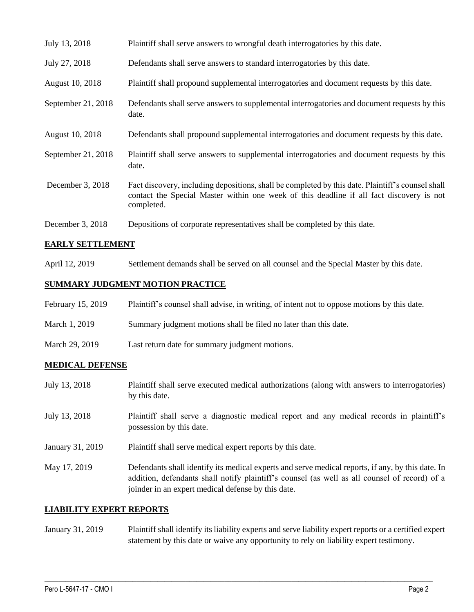| July 13, 2018      | Plaintiff shall serve answers to wrongful death interrogatories by this date.                                                                                                                               |
|--------------------|-------------------------------------------------------------------------------------------------------------------------------------------------------------------------------------------------------------|
| July 27, 2018      | Defendants shall serve answers to standard interrogatories by this date.                                                                                                                                    |
| August 10, 2018    | Plaintiff shall propound supplemental interrogatories and document requests by this date.                                                                                                                   |
| September 21, 2018 | Defendants shall serve answers to supplemental interrogatories and document requests by this<br>date.                                                                                                       |
| August 10, 2018    | Defendants shall propound supplemental interrogatories and document requests by this date.                                                                                                                  |
| September 21, 2018 | Plaintiff shall serve answers to supplemental interrogatories and document requests by this<br>date.                                                                                                        |
| December 3, 2018   | Fact discovery, including depositions, shall be completed by this date. Plaintiff's counsel shall<br>contact the Special Master within one week of this deadline if all fact discovery is not<br>completed. |
| December 3, 2018   | Depositions of corporate representatives shall be completed by this date.                                                                                                                                   |

# **EARLY SETTLEMENT**

April 12, 2019 Settlement demands shall be served on all counsel and the Special Master by this date.

#### **SUMMARY JUDGMENT MOTION PRACTICE**

| February 15, 2019 | Plaintiff's counsel shall advise, in writing, of intent not to oppose motions by this date. |
|-------------------|---------------------------------------------------------------------------------------------|
| March 1, 2019     | Summary judgment motions shall be filed no later than this date.                            |
| March 29, 2019    | Last return date for summary judgment motions.                                              |

### **MEDICAL DEFENSE**

| July 13, 2018    | Plaintiff shall serve executed medical authorizations (along with answers to interrogatories)<br>by this date.                                                                                                                                           |
|------------------|----------------------------------------------------------------------------------------------------------------------------------------------------------------------------------------------------------------------------------------------------------|
| July 13, 2018    | Plaintiff shall serve a diagnostic medical report and any medical records in plaintiff's<br>possession by this date.                                                                                                                                     |
| January 31, 2019 | Plaintiff shall serve medical expert reports by this date.                                                                                                                                                                                               |
| May 17, 2019     | Defendants shall identify its medical experts and serve medical reports, if any, by this date. In<br>addition, defendants shall notify plaintiff's counsel (as well as all counsel of record) of a<br>joinder in an expert medical defense by this date. |

### **LIABILITY EXPERT REPORTS**

January 31, 2019 Plaintiff shall identify its liability experts and serve liability expert reports or a certified expert statement by this date or waive any opportunity to rely on liability expert testimony.

 $\_$  ,  $\_$  ,  $\_$  ,  $\_$  ,  $\_$  ,  $\_$  ,  $\_$  ,  $\_$  ,  $\_$  ,  $\_$  ,  $\_$  ,  $\_$  ,  $\_$  ,  $\_$  ,  $\_$  ,  $\_$  ,  $\_$  ,  $\_$  ,  $\_$  ,  $\_$  ,  $\_$  ,  $\_$  ,  $\_$  ,  $\_$  ,  $\_$  ,  $\_$  ,  $\_$  ,  $\_$  ,  $\_$  ,  $\_$  ,  $\_$  ,  $\_$  ,  $\_$  ,  $\_$  ,  $\_$  ,  $\_$  ,  $\_$  ,